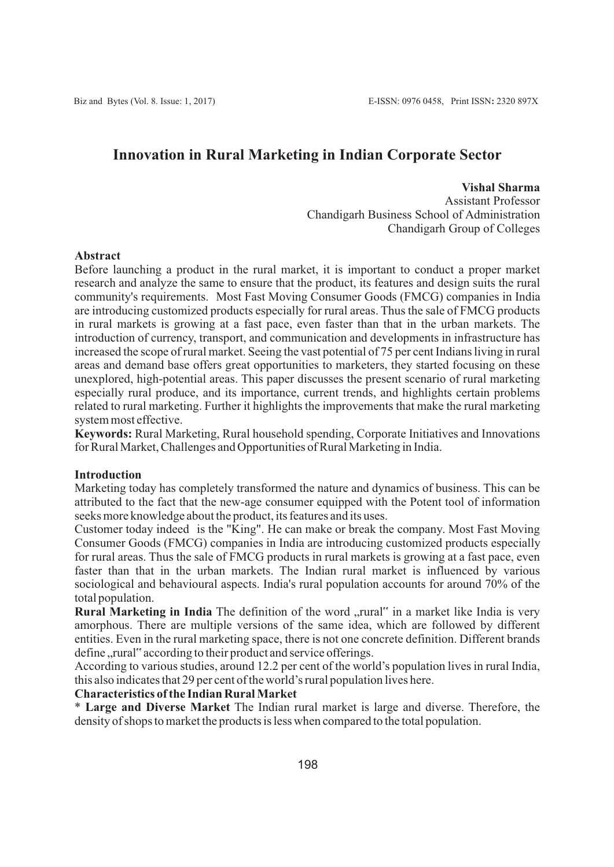# **Innovation in Rural Marketing in Indian Corporate Sector**

**Vishal Sharma**

Assistant Professor Chandigarh Business School of Administration Chandigarh Group of Colleges

### **Abstract**

Before launching a product in the rural market, it is important to conduct a proper market research and analyze the same to ensure that the product, its features and design suits the rural community's requirements. Most Fast Moving Consumer Goods (FMCG) companies in India are introducing customized products especially for rural areas. Thus the sale of FMCG products in rural markets is growing at a fast pace, even faster than that in the urban markets. The introduction of currency, transport, and communication and developments in infrastructure has increased the scope of rural market. Seeing the vast potential of 75 per cent Indians living in rural areas and demand base offers great opportunities to marketers, they started focusing on these unexplored, high-potential areas. This paper discusses the present scenario of rural marketing especially rural produce, and its importance, current trends, and highlights certain problems related to rural marketing. Further it highlights the improvements that make the rural marketing system most effective.

**Keywords:** Rural Marketing, Rural household spending, Corporate Initiatives and Innovations for Rural Market, Challenges and Opportunities of Rural Marketing in India.

#### **Introduction**

Marketing today has completely transformed the nature and dynamics of business. This can be attributed to the fact that the new-age consumer equipped with the Potent tool of information seeks more knowledge about the product, its features and its uses.

Customer today indeed is the "King". He can make or break the company. Most Fast Moving Consumer Goods (FMCG) companies in India are introducing customized products especially for rural areas. Thus the sale of FMCG products in rural markets is growing at a fast pace, even faster than that in the urban markets. The Indian rural market is influenced by various sociological and behavioural aspects. India's rural population accounts for around 70% of the total population.

**Rural Marketing in India** The definition of the word "rural" in a market like India is very amorphous. There are multiple versions of the same idea, which are followed by different entities. Even in the rural marketing space, there is not one concrete definition. Different brands define "rural" according to their product and service offerings.

According to various studies, around 12.2 per cent of the world's population lives in rural India, this also indicates that 29 per cent of the world's rural population lives here.

### **Characteristics of the Indian Rural Market**

\* **Large and Diverse Market** The Indian rural market is large and diverse. Therefore, the density of shops to market the products is less when compared to the total population.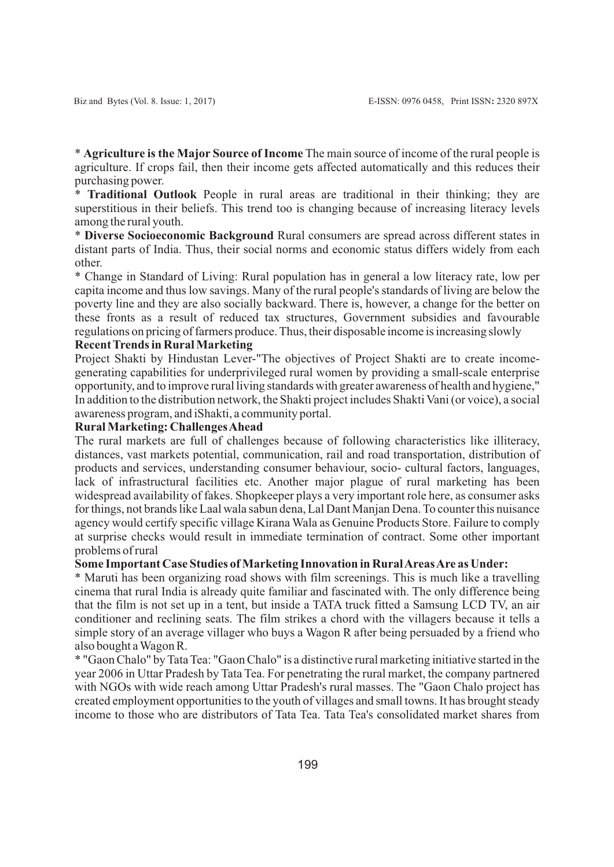\* **Agriculture is the Major Source of Income** The main source of income of the rural people is agriculture. If crops fail, then their income gets affected automatically and this reduces their purchasing power.

\* **Traditional Outlook** People in rural areas are traditional in their thinking; they are superstitious in their beliefs. This trend too is changing because of increasing literacy levels among the rural youth.

\* **Diverse Socioeconomic Background** Rural consumers are spread across different states in distant parts of India. Thus, their social norms and economic status differs widely from each other.

\* Change in Standard of Living: Rural population has in general a low literacy rate, low per capita income and thus low savings. Many of the rural people's standards of living are below the poverty line and they are also socially backward. There is, however, a change for the better on these fronts as a result of reduced tax structures, Government subsidies and favourable regulations on pricing of farmers produce. Thus, their disposable income is increasing slowly

### **Recent Trends in Rural Marketing**

Project Shakti by Hindustan Lever-"The objectives of Project Shakti are to create incomegenerating capabilities for underprivileged rural women by providing a small-scale enterprise opportunity, and to improve rural living standards with greater awareness of health and hygiene," In addition to the distribution network, the Shakti project includes Shakti Vani (or voice), a social awareness program, and iShakti, a community portal.

#### **Rural Marketing: Challenges Ahead**

The rural markets are full of challenges because of following characteristics like illiteracy, distances, vast markets potential, communication, rail and road transportation, distribution of products and services, understanding consumer behaviour, socio- cultural factors, languages, lack of infrastructural facilities etc. Another major plague of rural marketing has been widespread availability of fakes. Shopkeeper plays a very important role here, as consumer asks for things, not brands like Laal wala sabun dena, Lal Dant Manjan Dena. To counter this nuisance agency would certify specific village Kirana Wala as Genuine Products Store. Failure to comply at surprise checks would result in immediate termination of contract. Some other important problems of rural

#### **Some Important Case Studies of Marketing Innovation in Rural Areas Are as Under:**

\* Maruti has been organizing road shows with film screenings. This is much like a travelling cinema that rural India is already quite familiar and fascinated with. The only difference being that the film is not set up in a tent, but inside a TATA truck fitted a Samsung LCD TV, an air conditioner and reclining seats. The film strikes a chord with the villagers because it tells a simple story of an average villager who buys a Wagon R after being persuaded by a friend who also bought a Wagon R.

\* "Gaon Chalo" by Tata Tea: "Gaon Chalo" is a distinctive rural marketing initiative started in the year 2006 in Uttar Pradesh by Tata Tea. For penetrating the rural market, the company partnered with NGOs with wide reach among Uttar Pradesh's rural masses. The "Gaon Chalo project has created employment opportunities to the youth of villages and small towns. It has brought steady income to those who are distributors of Tata Tea. Tata Tea's consolidated market shares from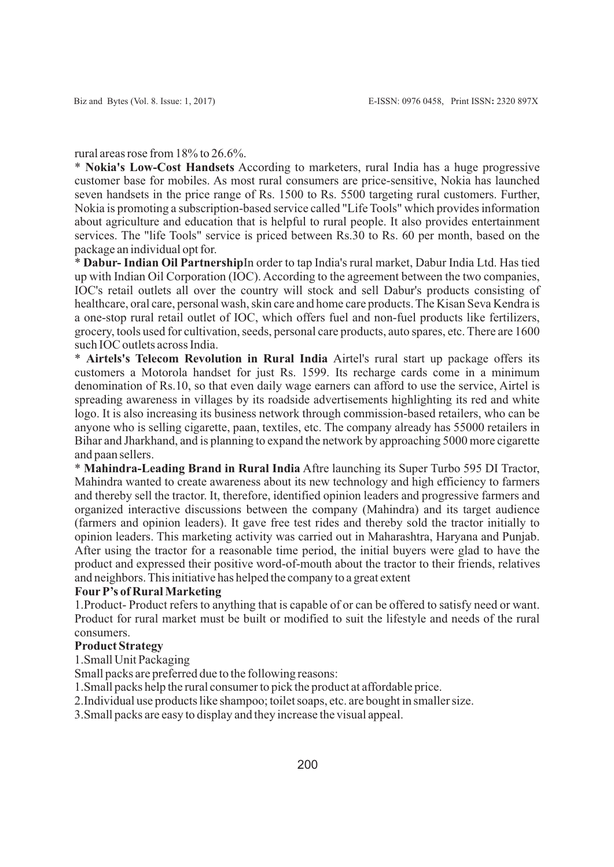rural areas rose from 18% to 26.6%.

\* **Nokia's Low-Cost Handsets** According to marketers, rural India has a huge progressive customer base for mobiles. As most rural consumers are price-sensitive, Nokia has launched seven handsets in the price range of Rs. 1500 to Rs. 5500 targeting rural customers. Further, Nokia is promoting a subscription-based service called "Life Tools" which provides information about agriculture and education that is helpful to rural people. It also provides entertainment services. The "life Tools" service is priced between Rs.30 to Rs. 60 per month, based on the package an individual opt for.

\* **Dabur- Indian Oil Partnership**In order to tap India's rural market, Dabur India Ltd. Has tied up with Indian Oil Corporation (IOC). According to the agreement between the two companies, IOC's retail outlets all over the country will stock and sell Dabur's products consisting of healthcare, oral care, personal wash, skin care and home care products. The Kisan Seva Kendra is a one-stop rural retail outlet of IOC, which offers fuel and non-fuel products like fertilizers, grocery, tools used for cultivation, seeds, personal care products, auto spares, etc. There are 1600 such IOC outlets across India.

\* **Airtels's Telecom Revolution in Rural India** Airtel's rural start up package offers its customers a Motorola handset for just Rs. 1599. Its recharge cards come in a minimum denomination of Rs.10, so that even daily wage earners can afford to use the service, Airtel is spreading awareness in villages by its roadside advertisements highlighting its red and white logo. It is also increasing its business network through commission-based retailers, who can be anyone who is selling cigarette, paan, textiles, etc. The company already has 55000 retailers in Bihar and Jharkhand, and is planning to expand the network by approaching 5000 more cigarette and paan sellers.

\* **Mahindra-Leading Brand in Rural India** Aftre launching its Super Turbo 595 DI Tractor, Mahindra wanted to create awareness about its new technology and high efficiency to farmers and thereby sell the tractor. It, therefore, identified opinion leaders and progressive farmers and organized interactive discussions between the company (Mahindra) and its target audience (farmers and opinion leaders). It gave free test rides and thereby sold the tractor initially to opinion leaders. This marketing activity was carried out in Maharashtra, Haryana and Punjab. After using the tractor for a reasonable time period, the initial buyers were glad to have the product and expressed their positive word-of-mouth about the tractor to their friends, relatives and neighbors. This initiative has helped the company to a great extent

### **FourP's of Rural Marketing**

1. Product- Product refers to anything that is capable of or can be offered to satisfy need or want. Product for rural market must be built or modified to suit the lifestyle and needs of the rural consumers.

### **Product Strategy**

1. Small Unit Packaging

Small packs are preferred due to the following reasons:

1. Small packs help the rural consumer to pick the product at affordable price.

2. Individual use products like shampoo; toilet soaps, etc. are bought in smaller size.

3. Small packs are easy to display and they increase the visual appeal.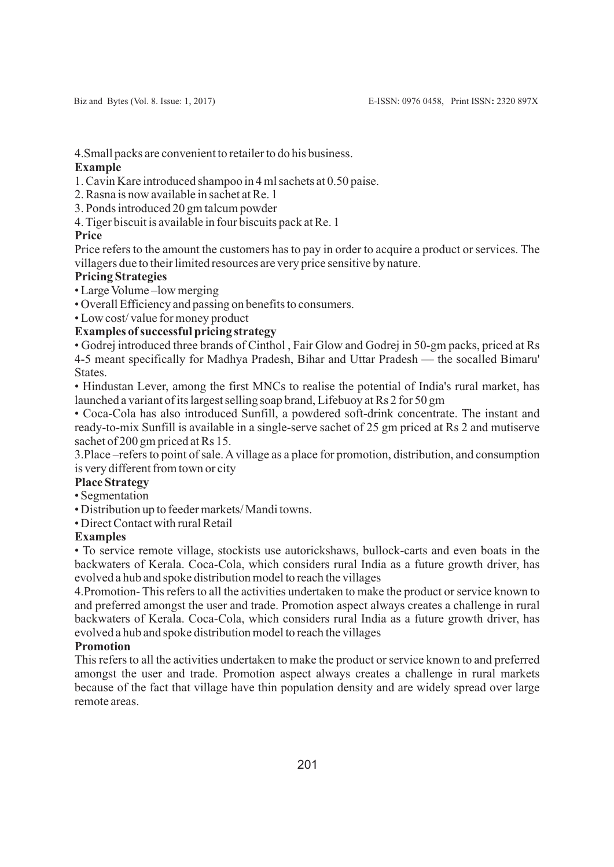4. Small packs are convenient to retailer to do his business.

## **Example**

1. Cavin Kare introduced shampoo in 4 ml sachets at 0.50 paise.

2. Rasna is now available in sachet at Re. 1

3. Ponds introduced 20 gm talcum powder

4. Tiger biscuit is available in four biscuits pack at Re. 1

## **Price**

Price refers to the amount the customers has to pay in order to acquire a product or services. The villagers due to their limited resources are very price sensitive by nature.

## **Pricing Strategies**

• Large Volume –low merging

• Overall Efficiency and passing on benefits to consumers.

• Low cost/ value for money product

# **Examples of successful pricing strategy**

• Godrej introduced three brands of Cinthol , Fair Glow and Godrej in 50-gm packs, priced at Rs 4-5 meant specifically for Madhya Pradesh, Bihar and Uttar Pradesh — the socalled Bimaru' **States** 

• Hindustan Lever, among the first MNCs to realise the potential of India's rural market, has launched a variant of its largest selling soap brand, Lifebuoy at Rs 2 for 50 gm

• Coca-Cola has also introduced Sunfill, a powdered soft-drink concentrate. The instant and ready-to-mix Sunfill is available in a single-serve sachet of 25 gm priced at Rs 2 and mutiserve sachet of 200 gm priced at Rs 15.

3. Place –refers to point of sale. Avillage as a place for promotion, distribution, and consumption is very different from town or city

### **Place Strategy**

• Segmentation

• Distribution up to feeder markets/ Mandi towns.

• Direct Contact with rural Retail

# **Examples**

• To service remote village, stockists use autorickshaws, bullock-carts and even boats in the backwaters of Kerala. Coca-Cola, which considers rural India as a future growth driver, has evolved a hub and spoke distribution model to reach the villages

4. Promotion- This refers to all the activities undertaken to make the product or service known to and preferred amongst the user and trade. Promotion aspect always creates a challenge in rural backwaters of Kerala. Coca-Cola, which considers rural India as a future growth driver, has evolved a hub and spoke distribution model to reach the villages

# **Promotion**

This refers to all the activities undertaken to make the product or service known to and preferred amongst the user and trade. Promotion aspect always creates a challenge in rural markets because of the fact that village have thin population density and are widely spread over large remote areas.